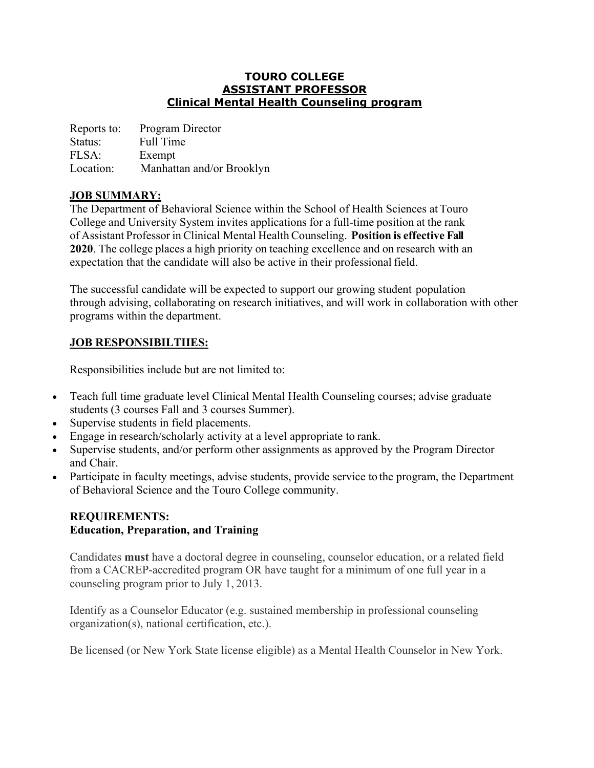### **TOURO COLLEGE ASSISTANT PROFESSOR Clinical Mental Health Counseling program**

| Reports to: | Program Director          |
|-------------|---------------------------|
| Status:     | Full Time                 |
| FLSA:       | Exempt                    |
| Location:   | Manhattan and/or Brooklyn |

## **JOB SUMMARY:**

The Department of Behavioral Science within the School of Health Sciences atTouro College and University System invites applications for a full-time position at the rank of Assistant Professor in Clinical Mental Health Counseling. **Position is effective Fall 2020**. The college places a high priority on teaching excellence and on research with an expectation that the candidate will also be active in their professional field.

The successful candidate will be expected to support our growing student population through advising, collaborating on research initiatives, and will work in collaboration with other programs within the department.

# **JOB RESPONSIBILTIIES:**

Responsibilities include but are not limited to:

- Teach full time graduate level Clinical Mental Health Counseling courses; advise graduate students (3 courses Fall and 3 courses Summer).
- Supervise students in field placements.
- Engage in research/scholarly activity at a level appropriate to rank.
- Supervise students, and/or perform other assignments as approved by the Program Director and Chair.
- Participate in faculty meetings, advise students, provide service to the program, the Department of Behavioral Science and the Touro College community.

## **REQUIREMENTS: Education, Preparation, and Training**

Candidates **must** have a doctoral degree in counseling, counselor education, or a related field from a CACREP-accredited program OR have taught for a minimum of one full year in a counseling program prior to July 1, 2013.

Identify as a Counselor Educator (e.g. sustained membership in professional counseling organization(s), national certification, etc.).

Be licensed (or New York State license eligible) as a Mental Health Counselor in New York.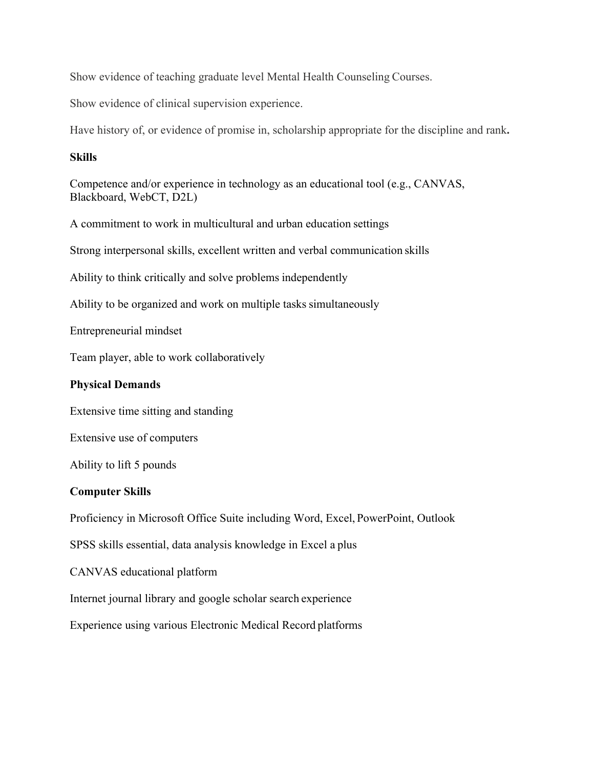Show evidence of teaching graduate level Mental Health Counseling Courses.

Show evidence of clinical supervision experience.

Have history of, or evidence of promise in, scholarship appropriate for the discipline and rank**.**

#### **Skills**

Competence and/or experience in technology as an educational tool (e.g., CANVAS, Blackboard, WebCT, D2L)

A commitment to work in multicultural and urban education settings

Strong interpersonal skills, excellent written and verbal communication skills

Ability to think critically and solve problems independently

Ability to be organized and work on multiple tasks simultaneously

Entrepreneurial mindset

Team player, able to work collaboratively

#### **Physical Demands**

Extensive time sitting and standing

Extensive use of computers

Ability to lift 5 pounds

#### **Computer Skills**

Proficiency in Microsoft Office Suite including Word, Excel, PowerPoint, Outlook

SPSS skills essential, data analysis knowledge in Excel a plus

CANVAS educational platform

Internet journal library and google scholar search experience

Experience using various Electronic Medical Record platforms